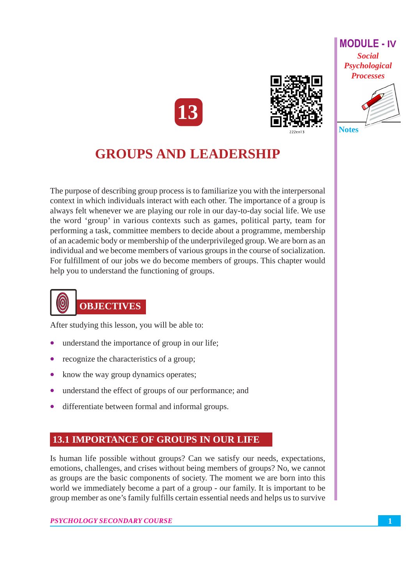





## **GROUPS AND LEADERSHIP**

The purpose of describing group process is to familiarize you with the interpersonal context in which individuals interact with each other. The importance of a group is always felt whenever we are playing our role in our day-to-day social life. We use the word 'group' in various contexts such as games, political party, team for performing a task, committee members to decide about a programme, membership of an academic body or membership of the underprivileged group. We are born as an individual and we become members of various groups in the course of socialization. For fulfillment of our jobs we do become members of groups. This chapter would help you to understand the functioning of groups.



After studying this lesson, you will be able to:

- understand the importance of group in our life;
- recognize the characteristics of a group;
- $\bullet$ know the way group dynamics operates;
- $\bullet$ understand the effect of groups of our performance; and
- differentiate between formal and informal groups.  $\bullet$

#### **13.1 IMPORTANCE OF GROUPS IN OUR LIFE**

Is human life possible without groups? Can we satisfy our needs, expectations, emotions, challenges, and crises without being members of groups? No, we cannot as groups are the basic components of society. The moment we are born into this world we immediately become a part of a group - our family. It is important to be group member as one's family fulfills certain essential needs and helps us to survive

#### PSYCHOLOGY SECONDARY COURSE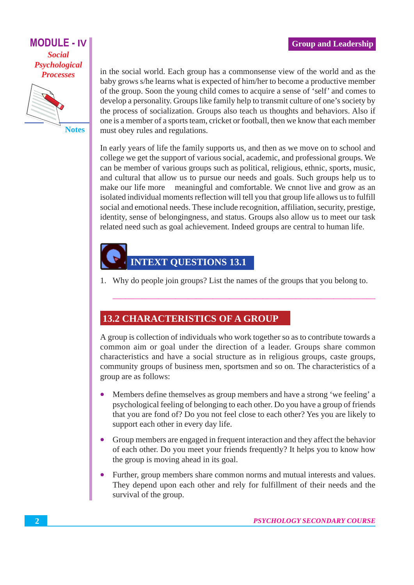**MODULE - IV Social** Psychological **Processes** 



**Notes** 

in the social world. Each group has a commonsense view of the world and as the baby grows s/he learns what is expected of him/her to become a productive member of the group. Soon the young child comes to acquire a sense of 'self' and comes to develop a personality. Groups like family help to transmit culture of one's society by the process of socialization. Groups also teach us thoughts and behaviors. Also if one is a member of a sports team, cricket or football, then we know that each member must obey rules and regulations.

In early years of life the family supports us, and then as we move on to school and college we get the support of various social, academic, and professional groups. We can be member of various groups such as political, religious, ethnic, sports, music, and cultural that allow us to pursue our needs and goals. Such groups help us to make our life more meaningful and comfortable. We cnnot live and grow as an isolated individual moments reflection will tell you that group life allows us to fulfill social and emotional needs. These include recognition, affiliation, security, prestige, identity, sense of belongingness, and status. Groups also allow us to meet our task related need such as goal achievement. Indeed groups are central to human life.

## **INTEXT QUESTIONS 13.1**

1. Why do people join groups? List the names of the groups that you belong to.

## **13.2 CHARACTERISTICS OF A GROUP**

A group is collection of individuals who work together so as to contribute towards a common aim or goal under the direction of a leader. Groups share common characteristics and have a social structure as in religious groups, caste groups, community groups of business men, sportsmen and so on. The characteristics of a group are as follows:

- Members define themselves as group members and have a strong 'we feeling' a psychological feeling of belonging to each other. Do you have a group of friends that you are fond of? Do you not feel close to each other? Yes you are likely to support each other in every day life.
- Group members are engaged in frequent interaction and they affect the behavior of each other. Do you meet your friends frequently? It helps you to know how the group is moving ahead in its goal.
- Further, group members share common norms and mutual interests and values. They depend upon each other and rely for fulfillment of their needs and the survival of the group.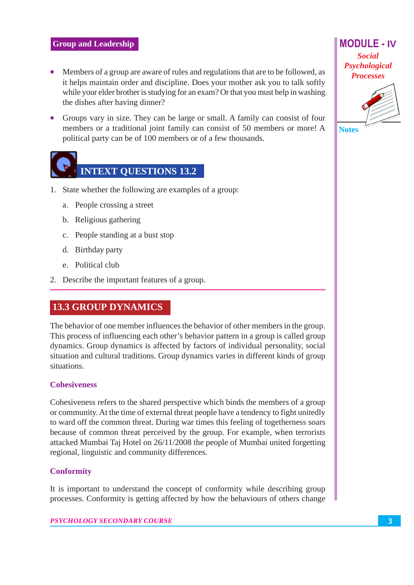- Members of a group are aware of rules and regulations that are to be followed, as it helps maintain order and discipline. Does your mother ask you to talk softly while your elder brother is studying for an exam? Or that you must help in washing the dishes after having dinner?
- Groups vary in size. They can be large or small. A family can consist of four members or a traditional joint family can consist of 50 members or more! A political party can be of 100 members or of a few thousands.



- 1. State whether the following are examples of a group:
	- a. People crossing a street
	- b. Religious gathering
	- c. People standing at a bust stop
	- d. Birthday party
	- e. Political club
- 2. Describe the important features of a group.

## **13.3 GROUP DYNAMICS**

The behavior of one member influences the behavior of other members in the group. This process of influencing each other's behavior pattern in a group is called group dynamics. Group dynamics is affected by factors of individual personality, social situation and cultural traditions. Group dynamics varies in different kinds of group situations.

#### **Cohesiveness**

Cohesiveness refers to the shared perspective which binds the members of a group or community. At the time of external threat people have a tendency to fight unitedly to ward off the common threat. During war times this feeling of togetherness soars because of common threat perceived by the group. For example, when terrorists attacked Mumbai Taj Hotel on 26/11/2008 the people of Mumbai united forgetting regional, linguistic and community differences.

#### **Conformity**

It is important to understand the concept of conformity while describing group processes. Conformity is getting affected by how the behaviours of others change

#### PSYCHOLOGY SECONDARY COURSE

**MODULE - IV Social** Psychological **Processes** 



**Notes**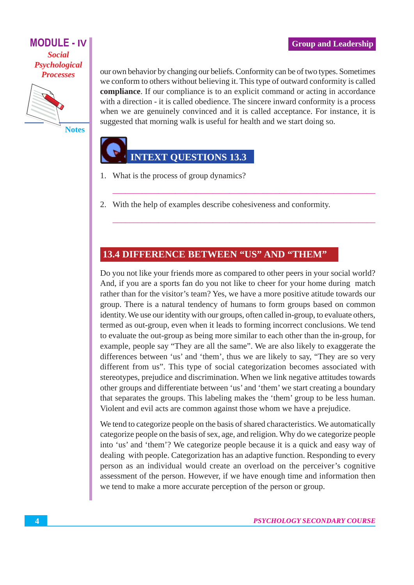#### **MODULE - IV Social** Psychological **Processes**



**Notes** 

our own behavior by changing our beliefs. Conformity can be of two types. Sometimes we conform to others without believing it. This type of outward conformity is called compliance. If our compliance is to an explicit command or acting in accordance with a direction - it is called obedience. The sincere inward conformity is a process when we are genuinely convinced and it is called acceptance. For instance, it is suggested that morning walk is useful for health and we start doing so.

## **INTEXT QUESTIONS 13.3**

- 1. What is the process of group dynamics?
- 2. With the help of examples describe cohesiveness and conformity.

#### **13.4 DIFFERENCE BETWEEN "US" AND "THEM"**

Do you not like your friends more as compared to other peers in your social world? And, if you are a sports fan do you not like to cheer for your home during match rather than for the visitor's team? Yes, we have a more positive at tude towards our group. There is a natural tendency of humans to form groups based on common identity. We use our identity with our groups, often called in-group, to evaluate others, termed as out-group, even when it leads to forming incorrect conclusions. We tend to evaluate the out-group as being more similar to each other than the in-group, for example, people say "They are all the same". We are also likely to exaggerate the differences between 'us' and 'them', thus we are likely to say, "They are so very different from us". This type of social categorization becomes associated with stereotypes, prejudice and discrimination. When we link negative attitudes towards other groups and differentiate between 'us' and 'them' we start creating a boundary that separates the groups. This labeling makes the 'them' group to be less human. Violent and evil acts are common against those whom we have a prejudice.

We tend to categorize people on the basis of shared characteristics. We automatically categorize people on the basis of sex, age, and religion. Why do we categorize people into 'us' and 'them'? We categorize people because it is a quick and easy way of dealing with people. Categorization has an adaptive function. Responding to every person as an individual would create an overload on the perceiver's cognitive assessment of the person. However, if we have enough time and information then we tend to make a more accurate perception of the person or group.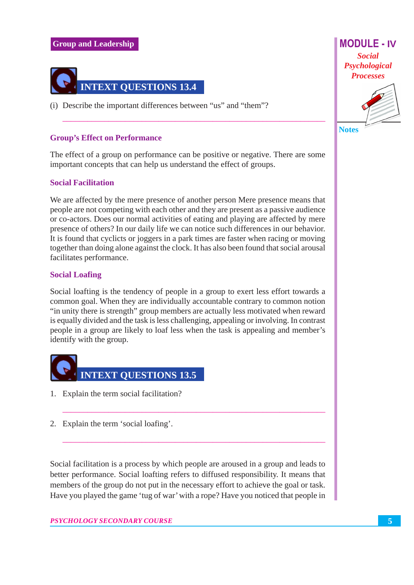#### **Group and Leadership**



(i) Describe the important differences between "us" and "them"?

#### **Group's Effect on Performance**

The effect of a group on performance can be positive or negative. There are some important concepts that can help us understand the effect of groups.

#### **Social Facilitation**

We are affected by the mere presence of another person Mere presence means that people are not competing with each other and they are present as a passive audience or co-actors. Does our normal activities of eating and playing are affected by mere presence of others? In our daily life we can notice such differences in our behavior. It is found that cyclicts or joggers in a park times are faster when racing or moving together than doing alone against the clock. It has also been found that social arousal facilitates performance.

#### **Social Loafing**

Social loafting is the tendency of people in a group to exert less effort towards a common goal. When they are individually accountable contrary to common notion "in unity there is strength" group members are actually less motivated when reward is equally divided and the task is less challenging, appealing or involving. In contrast people in a group are likely to loaf less when the task is appealing and member's identify with the group.



- 1. Explain the term social facilitation?
- 2. Explain the term 'social loafing'.

Social facilitation is a process by which people are aroused in a group and leads to better performance. Social loafting refers to diffused responsibility. It means that members of the group do not put in the necessary effort to achieve the goal or task. Have you played the game 'tug of war' with a rope? Have you noticed that people in **MODULE - IV Social** Psychological **Processes** 



 $\overline{5}$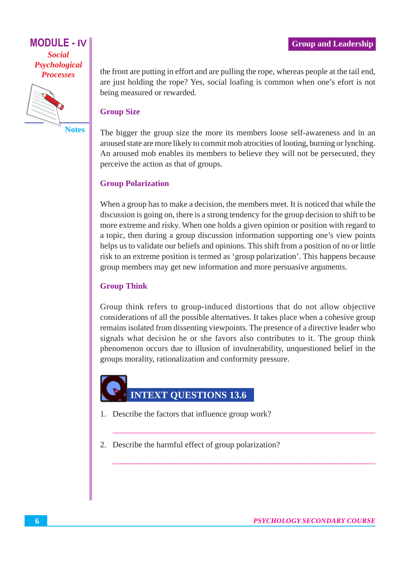#### **MODULE - IV Social** Psychological **Processes**



**Notes** 

the front are putting in effort and are pulling the rope, whereas people at the tail end, are just holding the rope? Yes, social loafing is common when one's efort is not being measured or rewarded.

#### **Group Size**

The bigger the group size the more its members loose self-awareness and in an aroused state are more likely to commit mob atrocities of looting, burning or lynching. An aroused mob enables its members to believe they will not be persecuted, they perceive the action as that of groups.

#### **Group Polarization**

When a group has to make a decision, the members meet. It is noticed that while the discussion is going on, there is a strong tendency for the group decision to shift to be more extreme and risky. When one holds a given opinion or position with regard to a topic, then during a group discussion information supporting one's view points helps us to validate our beliefs and opinions. This shift from a position of no or little risk to an extreme position is termed as 'group polarization'. This happens because group members may get new information and more persuasive arguments.

#### **Group Think**

Group think refers to group-induced distortions that do not allow objective considerations of all the possible alternatives. It takes place when a cohesive group remains isolated from dissenting viewpoints. The presence of a directive leader who signals what decision he or she favors also contributes to it. The group think phenomenon occurs due to illusion of invulnerability, unquestioned belief in the groups morality, rationalization and conformity pressure.



- 1. Describe the factors that influence group work?
- 2. Describe the harmful effect of group polarization?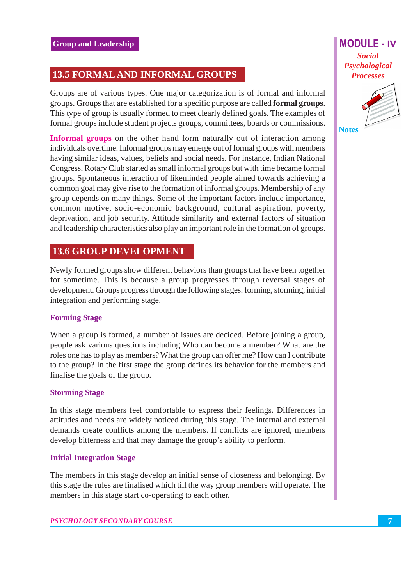#### **13.5 FORMAL AND INFORMAL GROUPS**

Groups are of various types. One major categorization is of formal and informal groups. Groups that are established for a specific purpose are called **formal groups**. This type of group is usually formed to meet clearly defined goals. The examples of formal groups include student projects groups, committees, boards or commissions.

**Informal groups** on the other hand form naturally out of interaction among individuals overtime. Informal groups may emerge out of formal groups with members having similar ideas, values, beliefs and social needs. For instance, Indian National Congress, Rotary Club started as small informal groups but with time became formal groups. Spontaneous interaction of likeminded people aimed towards achieving a common goal may give rise to the formation of informal groups. Membership of any group depends on many things. Some of the important factors include importance, common motive, socio-economic background, cultural aspiration, poverty, deprivation, and job security. Attitude similarity and external factors of situation and leadership characteristics also play an important role in the formation of groups.

#### **13.6 GROUP DEVELOPMENT**

Newly formed groups show different behaviors than groups that have been together for sometime. This is because a group progresses through reversal stages of development. Groups progress through the following stages: forming, storming, initial integration and performing stage.

#### **Forming Stage**

When a group is formed, a number of issues are decided. Before joining a group, people ask various questions including Who can become a member? What are the roles one has to play as members? What the group can offer me? How can I contribute to the group? In the first stage the group defines its behavior for the members and finalise the goals of the group.

#### **Storming Stage**

In this stage members feel comfortable to express their feelings. Differences in attitudes and needs are widely noticed during this stage. The internal and external demands create conflicts among the members. If conflicts are ignored, members develop bitterness and that may damage the group's ability to perform.

#### **Initial Integration Stage**

The members in this stage develop an initial sense of closeness and belonging. By this stage the rules are finalised which till the way group members will operate. The members in this stage start co-operating to each other.

**MODULE - IV Social** Psychological **Processes** 



**Notes**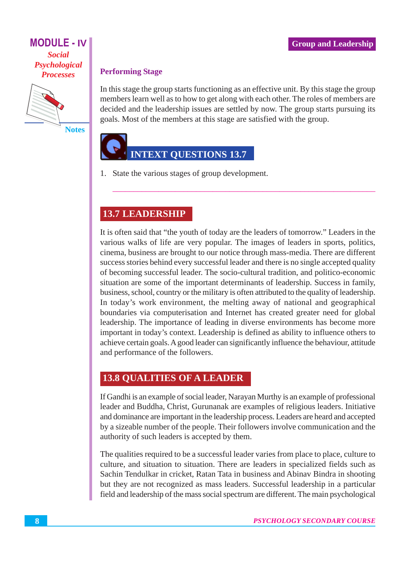#### **Group and Leadership**

#### **MODULE - IV Social** Psychological **Processes**



**Notes** 

#### **Performing Stage**

In this stage the group starts functioning as an effective unit. By this stage the group members learn well as to how to get along with each other. The roles of members are decided and the leadership issues are settled by now. The group starts pursuing its goals. Most of the members at this stage are satisfied with the group.

## **INTEXT QUESTIONS 13.7**

1. State the various stages of group development.

### **13.7 LEADERSHIP**

It is often said that "the youth of today are the leaders of tomorrow." Leaders in the various walks of life are very popular. The images of leaders in sports, politics, cinema, business are brought to our notice through mass-media. There are different success stories behind every successful leader and there is no single accepted quality of becoming successful leader. The socio-cultural tradition, and politico-economic situation are some of the important determinants of leadership. Success in family, business, school, country or the military is often attributed to the quality of leadership. In today's work environment, the melting away of national and geographical boundaries via computerisation and Internet has created greater need for global leadership. The importance of leading in diverse environments has become more important in today's context. Leadership is defined as ability to influence others to achieve certain goals. A good leader can significantly influence the behaviour, attitude and performance of the followers.

### **13.8 QUALITIES OF A LEADER**

If Gandhi is an example of social leader, Narayan Murthy is an example of professional leader and Buddha, Christ, Gurunanak are examples of religious leaders. Initiative and dominance are important in the leadership process. Leaders are heard and accepted by a sizeable number of the people. Their followers involve communication and the authority of such leaders is accepted by them.

The qualities required to be a successful leader varies from place to place, culture to culture, and situation to situation. There are leaders in specialized fields such as Sachin Tendulkar in cricket, Ratan Tata in business and Abinav Bindra in shooting but they are not recognized as mass leaders. Successful leadership in a particular field and leadership of the mass social spectrum are different. The main psychological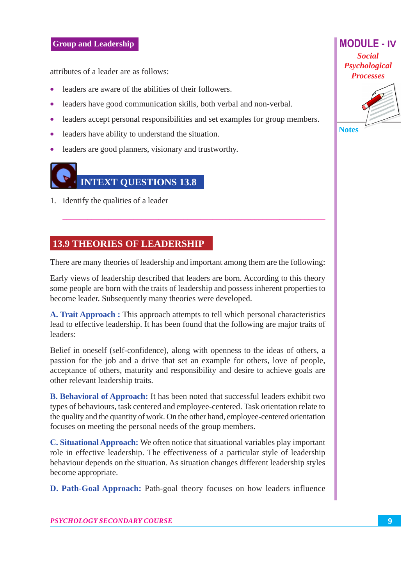attributes of a leader are as follows:

- leaders are aware of the abilities of their followers.
- leaders have good communication skills, both verbal and non-verbal.
- leaders accept personal responsibilities and set examples for group members.
- leaders have ability to understand the situation.
- leaders are good planners, visionary and trustworthy.

# **INTEXT QUESTIONS 13.8**

1. Identify the qualities of a leader

#### **13.9 THEORIES OF LEADERSHIP**

There are many theories of leadership and important among them are the following:

Early views of leadership described that leaders are born. According to this theory some people are born with the traits of leadership and possess inherent properties to become leader. Subsequently many theories were developed.

A. Trait Approach : This approach attempts to tell which personal characteristics lead to effective leadership. It has been found that the following are major traits of leaders:

Belief in oneself (self-confidence), along with openness to the ideas of others, a passion for the job and a drive that set an example for others, love of people, acceptance of others, maturity and responsibility and desire to achieve goals are other relevant leadership traits.

**B. Behavioral of Approach:** It has been noted that successful leaders exhibit two types of behaviours, task centered and employee-centered. Task orientation relate to the quality and the quantity of work. On the other hand, employee-centered orientation focuses on meeting the personal needs of the group members.

**C. Situational Approach:** We often notice that situational variables play important role in effective leadership. The effectiveness of a particular style of leadership behaviour depends on the situation. As situation changes different leadership styles become appropriate.

D. Path-Goal Approach: Path-goal theory focuses on how leaders influence

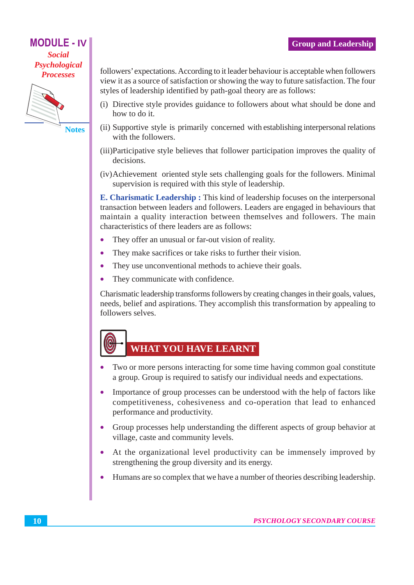#### **MODULE - IV Social**

Psychological **Processes** 



**Notes** 

followers' expectations. According to it leader behaviour is acceptable when followers view it as a source of satisfaction or showing the way to future satisfaction. The four styles of leadership identified by path-goal theory are as follows:

- (i) Directive style provides guidance to followers about what should be done and how to do it.
- (ii) Supportive style is primarily concerned with establishing interpersonal relations with the followers.
- (iii) Participative style believes that follower participation improves the quality of decisions.
- (iv) Achievement oriented style sets challenging goals for the followers. Minimal supervision is required with this style of leadership.

E. Charismatic Leadership: This kind of leadership focuses on the interpersonal transaction between leaders and followers. Leaders are engaged in behaviours that maintain a quality interaction between themselves and followers. The main characteristics of there leaders are as follows:

- $\bullet$ They offer an unusual or far-out vision of reality.
- They make sacrifices or take risks to further their vision.  $\bullet$
- They use unconventional methods to achieve their goals.  $\bullet$
- They communicate with confidence.  $\bullet$

Charismatic leadership transforms followers by creating changes in their goals, values, needs, belief and aspirations. They accomplish this transformation by appealing to followers selves.

## WHAT YOU HAVE LEARNT

- Two or more persons interacting for some time having common goal constitute a group. Group is required to satisfy our individual needs and expectations.
- Importance of group processes can be understood with the help of factors like  $\bullet$ competitiveness, cohesiveness and co-operation that lead to enhanced performance and productivity.
- Group processes help understanding the different aspects of group behavior at village, caste and community levels.
- At the organizational level productivity can be immensely improved by  $\bullet$ strengthening the group diversity and its energy.
- Humans are so complex that we have a number of theories describing leadership.  $\bullet$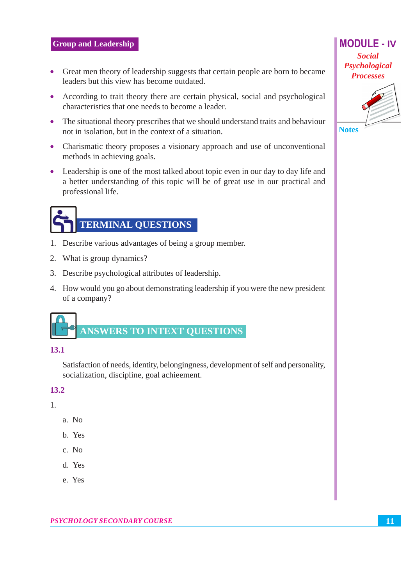#### **Group and Leadership**

- Great men theory of leadership suggests that certain people are born to became leaders but this view has become outdated.
- According to trait theory there are certain physical, social and psychological characteristics that one needs to become a leader.
- The situational theory prescribes that we should understand traits and behaviour not in isolation, but in the context of a situation.
- Charismatic theory proposes a visionary approach and use of unconventional methods in achieving goals.
- Leadership is one of the most talked about topic even in our day to day life and a better understanding of this topic will be of great use in our practical and professional life.

## **TERMINAL QUESTIONS**

- 1. Describe various advantages of being a group member.
- 2. What is group dynamics?
- 3. Describe psychological attributes of leadership.
- 4. How would you go about demonstrating leadership if you were the new president of a company?



#### 13.1

Satisfaction of needs, identity, belongingness, development of self and personality, socialization, discipline, goal achieement.

#### 13.2

1.

- $a. No$
- b. Yes
- $c. No$
- d. Yes
- e. Yes

**Social** Psychological **Processes** 

**MODULE - IV** 



**Notes**